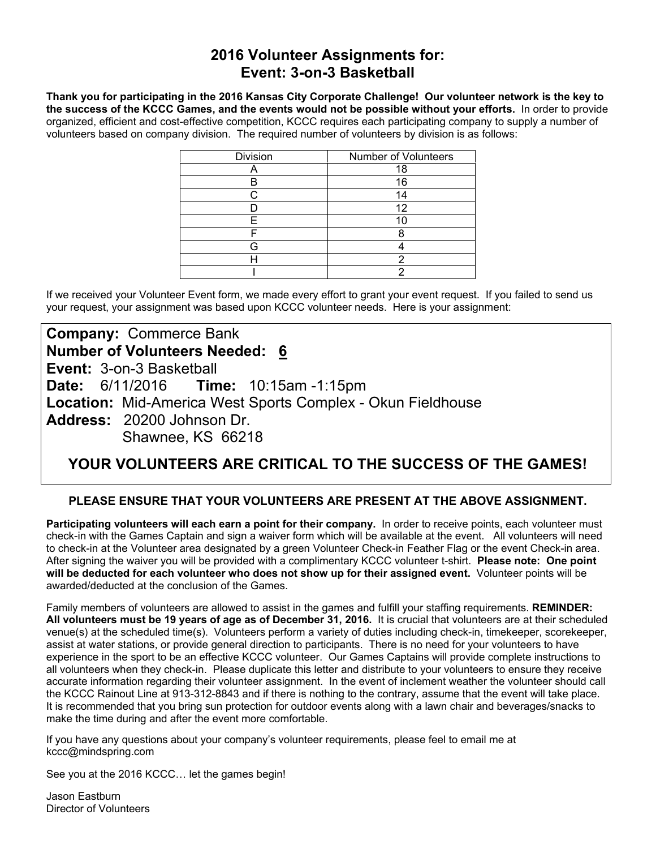### **2016 Volunteer Assignments for: Event: 3-on-3 Basketball**

**Thank you for participating in the 2016 Kansas City Corporate Challenge! Our volunteer network is the key to the success of the KCCC Games, and the events would not be possible without your efforts.** In order to provide organized, efficient and cost-effective competition, KCCC requires each participating company to supply a number of volunteers based on company division. The required number of volunteers by division is as follows:

| Division | Number of Volunteers |
|----------|----------------------|
|          | 18                   |
|          | 16                   |
|          | 14                   |
|          | 12                   |
| ᄃ        |                      |
|          |                      |
|          |                      |
|          |                      |
|          |                      |

If we received your Volunteer Event form, we made every effort to grant your event request. If you failed to send us your request, your assignment was based upon KCCC volunteer needs. Here is your assignment:

## **Company:** Commerce Bank **Number of Volunteers Needed: 6 Event:** 3-on-3 Basketball **Date:** 6/11/2016 **Time:** 10:15am -1:15pm **Location:** Mid-America West Sports Complex - Okun Fieldhouse **Address:** 20200 Johnson Dr. Shawnee, KS 66218

# **YOUR VOLUNTEERS ARE CRITICAL TO THE SUCCESS OF THE GAMES!**

#### **PLEASE ENSURE THAT YOUR VOLUNTEERS ARE PRESENT AT THE ABOVE ASSIGNMENT.**

**Participating volunteers will each earn a point for their company.** In order to receive points, each volunteer must check-in with the Games Captain and sign a waiver form which will be available at the event. All volunteers will need to check-in at the Volunteer area designated by a green Volunteer Check-in Feather Flag or the event Check-in area. After signing the waiver you will be provided with a complimentary KCCC volunteer t-shirt. **Please note: One point will be deducted for each volunteer who does not show up for their assigned event.** Volunteer points will be awarded/deducted at the conclusion of the Games.

Family members of volunteers are allowed to assist in the games and fulfill your staffing requirements. **REMINDER: All volunteers must be 19 years of age as of December 31, 2016.** It is crucial that volunteers are at their scheduled venue(s) at the scheduled time(s). Volunteers perform a variety of duties including check-in, timekeeper, scorekeeper, assist at water stations, or provide general direction to participants. There is no need for your volunteers to have experience in the sport to be an effective KCCC volunteer. Our Games Captains will provide complete instructions to all volunteers when they check-in. Please duplicate this letter and distribute to your volunteers to ensure they receive accurate information regarding their volunteer assignment. In the event of inclement weather the volunteer should call the KCCC Rainout Line at 913-312-8843 and if there is nothing to the contrary, assume that the event will take place. It is recommended that you bring sun protection for outdoor events along with a lawn chair and beverages/snacks to make the time during and after the event more comfortable.

If you have any questions about your company's volunteer requirements, please feel to email me at kccc@mindspring.com

See you at the 2016 KCCC… let the games begin!

Jason Eastburn Director of Volunteers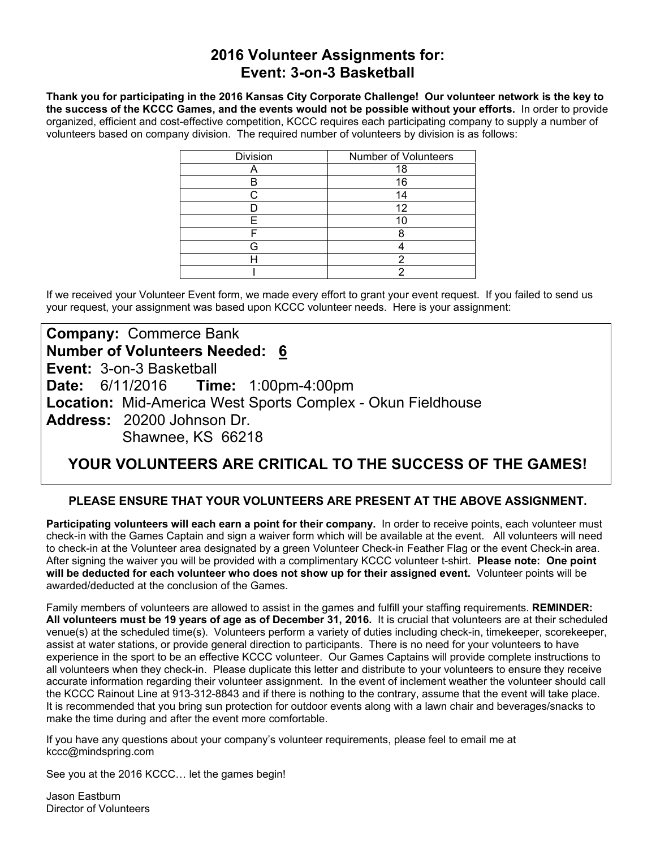### **2016 Volunteer Assignments for: Event: 3-on-3 Basketball**

**Thank you for participating in the 2016 Kansas City Corporate Challenge! Our volunteer network is the key to the success of the KCCC Games, and the events would not be possible without your efforts.** In order to provide organized, efficient and cost-effective competition, KCCC requires each participating company to supply a number of volunteers based on company division. The required number of volunteers by division is as follows:

| Division | Number of Volunteers |
|----------|----------------------|
|          | 18                   |
|          | 16                   |
|          | 14                   |
|          | 12                   |
| ᄃ        |                      |
|          |                      |
|          |                      |
|          |                      |
|          |                      |

If we received your Volunteer Event form, we made every effort to grant your event request. If you failed to send us your request, your assignment was based upon KCCC volunteer needs. Here is your assignment:

## **Company:** Commerce Bank **Number of Volunteers Needed: 6 Event:** 3-on-3 Basketball **Date:** 6/11/2016 **Time:** 1:00pm-4:00pm **Location:** Mid-America West Sports Complex - Okun Fieldhouse **Address:** 20200 Johnson Dr. Shawnee, KS 66218

# **YOUR VOLUNTEERS ARE CRITICAL TO THE SUCCESS OF THE GAMES!**

#### **PLEASE ENSURE THAT YOUR VOLUNTEERS ARE PRESENT AT THE ABOVE ASSIGNMENT.**

**Participating volunteers will each earn a point for their company.** In order to receive points, each volunteer must check-in with the Games Captain and sign a waiver form which will be available at the event. All volunteers will need to check-in at the Volunteer area designated by a green Volunteer Check-in Feather Flag or the event Check-in area. After signing the waiver you will be provided with a complimentary KCCC volunteer t-shirt. **Please note: One point will be deducted for each volunteer who does not show up for their assigned event.** Volunteer points will be awarded/deducted at the conclusion of the Games.

Family members of volunteers are allowed to assist in the games and fulfill your staffing requirements. **REMINDER: All volunteers must be 19 years of age as of December 31, 2016.** It is crucial that volunteers are at their scheduled venue(s) at the scheduled time(s). Volunteers perform a variety of duties including check-in, timekeeper, scorekeeper, assist at water stations, or provide general direction to participants. There is no need for your volunteers to have experience in the sport to be an effective KCCC volunteer. Our Games Captains will provide complete instructions to all volunteers when they check-in. Please duplicate this letter and distribute to your volunteers to ensure they receive accurate information regarding their volunteer assignment. In the event of inclement weather the volunteer should call the KCCC Rainout Line at 913-312-8843 and if there is nothing to the contrary, assume that the event will take place. It is recommended that you bring sun protection for outdoor events along with a lawn chair and beverages/snacks to make the time during and after the event more comfortable.

If you have any questions about your company's volunteer requirements, please feel to email me at kccc@mindspring.com

See you at the 2016 KCCC… let the games begin!

Jason Eastburn Director of Volunteers